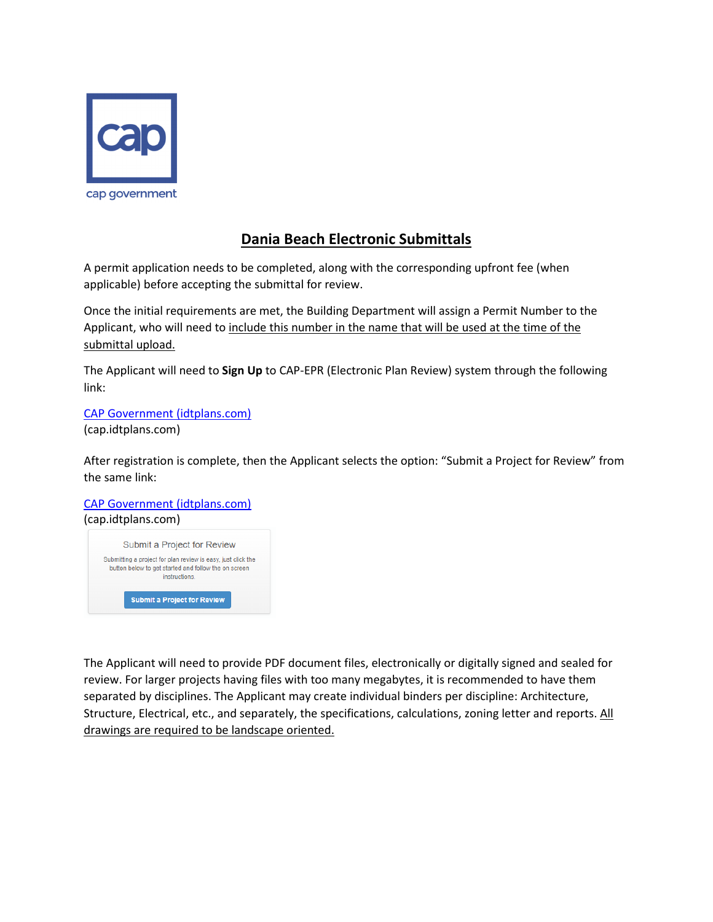

## **Dania Beach Electronic Submittals**

A permit application needs to be completed, along with the corresponding upfront fee (when applicable) before accepting the submittal for review.

Once the initial requirements are met, the Building Department will assign a Permit Number to the Applicant, who will need to include this number in the name that will be used at the time of the submittal upload.

The Applicant will need to **Sign Up** to CAP-EPR (Electronic Plan Review) system through the following link:

CAP Government (idtplans.com) (cap.idtplans.com)

After registration is complete, then the Applicant selects the option: "Submit a Project for Review" from the same link:

CAP Government (idtplans.com) (cap.idtplans.com)



The Applicant will need to provide PDF document files, electronically or digitally signed and sealed for review. For larger projects having files with too many megabytes, it is recommended to have them separated by disciplines. The Applicant may create individual binders per discipline: Architecture, Structure, Electrical, etc., and separately, the specifications, calculations, zoning letter and reports. All drawings are required to be landscape oriented.